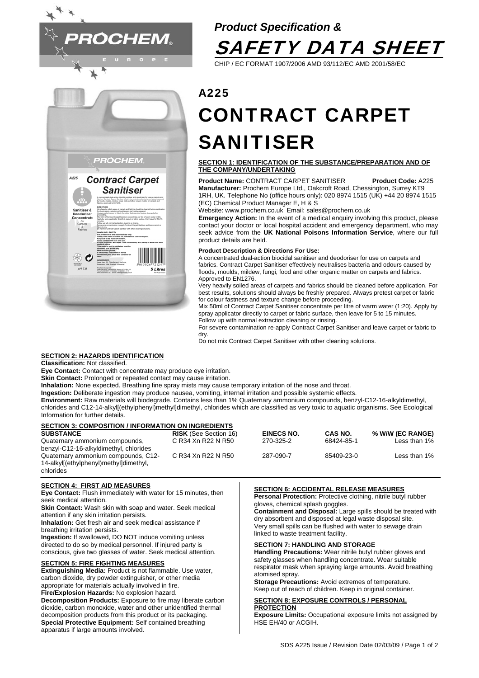

# *Product Specification &*  SAFETY DATA SHEET

CHIP / EC FORMAT 1907/2006 AMD 93/112/EC AMD 2001/58/EC

# A225 CONTRACT CARPET SANITISER

# **SECTION 1: IDENTIFICATION OF THE SUBSTANCE/PREPARATION AND OF THE COMPANY/UNDERTAKING**

**Product Name:** CONTRACT CARPET SANITISER **Product Code:** A225 **Manufacturer:** Prochem Europe Ltd., Oakcroft Road, Chessington, Surrey KT9 1RH, UK. Telephone No (office hours only): 020 8974 1515 (UK) +44 20 8974 1515 (EC) Chemical Product Manager E, H & S

Website: www.prochem.co.uk Email: sales@prochem.co.uk

**Emergency Action:** In the event of a medical enquiry involving this product, please contact your doctor or local hospital accident and emergency department, who may seek advice from the **UK National Poisons Information Service**, where our full product details are held.

# **Product Description & Directions For Use:**

A concentrated dual-action biocidal sanitiser and deodoriser for use on carpets and fabrics. Contract Carpet Sanitiser effectively neutralises bacteria and odours caused by floods, moulds, mildew, fungi, food and other organic matter on carpets and fabrics. Approved to EN1276.

Very heavily soiled areas of carpets and fabrics should be cleaned before application. For best results, solutions should always be freshly prepared. Always pretest carpet or fabric for colour fastness and texture change before proceeding.

Mix 50ml of Contract Carpet Sanitiser concentrate per litre of warm water (1:20). Apply by spray applicator directly to carpet or fabric surface, then leave for 5 to 15 minutes. Follow up with normal extraction cleaning or rinsing.

For severe contamination re-apply Contract Carpet Sanitiser and leave carpet or fabric to dry.

Do not mix Contract Carpet Sanitiser with other cleaning solutions.

# **SECTION 2: HAZARDS IDENTIFICATION**

**Classification:** Not classified.

**Eye Contact:** Contact with concentrate may produce eye irritation.

engton, Sunny 479 1991, UK<br>15 80CL HAK 20 8814 1010

5 Litre

**Skin Contact:** Prolonged or repeated contact may cause irritation.

**Inhalation:** None expected. Breathing fine spray mists may cause temporary irritation of the nose and throat.

**Ingestion:** Deliberate ingestion may produce nausea, vomiting, internal irritation and possible systemic effects.

**Environment:** Raw materials will biodegrade. Contains less than 1% Quaternary ammonium compounds, benzyl-C12-16-alkyldimethyl, chlorides and C12-14-alkyl[(ethylphenyl)methyl]dimethyl, chlorides which are classified as very toxic to aquatic organisms. See Ecological Information for further details.

| <b>SECTION 3: COMPOSITION / INFORMATION ON INGREDIENTS</b> |                              |                   |                |                  |
|------------------------------------------------------------|------------------------------|-------------------|----------------|------------------|
| <b>SUBSTANCE</b>                                           | <b>RISK</b> (See Section 16) | <b>EINECS NO.</b> | <b>CAS NO.</b> | % W/W (EC RANGE) |
| Quaternary ammonium compounds,                             | C R34 Xn R22 N R50           | 270-325-2         | 68424-85-1     | Less than $1\%$  |
| benzyl-C12-16-alkyldimethyl, chlorides                     |                              |                   |                |                  |
| Quaternary ammonium compounds, C12-                        | C R34 Xn R22 N R50           | 287-090-7         | 85409-23-0     | Less than $1\%$  |
| 14-alkyl[(ethylphenyl)methyl]dimethyl,                     |                              |                   |                |                  |
| chlorides                                                  |                              |                   |                |                  |

# **SECTION 4: FIRST AID MEASURES**

**Eye Contact:** Flush immediately with water for 15 minutes, then seek medical attention.

**Skin Contact:** Wash skin with soap and water. Seek medical attention if any skin irritation persists.

**Inhalation:** Get fresh air and seek medical assistance if breathing irritation persists.

**Ingestion:** If swallowed, DO NOT induce vomiting unless directed to do so by medical personnel. If injured party is conscious, give two glasses of water. Seek medical attention.

# **SECTION 5: FIRE FIGHTING MEASURES**

**Extinguishing Media:** Product is not flammable. Use water, carbon dioxide, dry powder extinguisher, or other media appropriate for materials actually involved in fire. **Fire/Explosion Hazards:** No explosion hazard. **Decomposition Products:** Exposure to fire may liberate carbon dioxide, carbon monoxide, water and other unidentified thermal decomposition products from this product or its packaging. **Special Protective Equipment:** Self contained breathing apparatus if large amounts involved.

# **SECTION 6: ACCIDENTAL RELEASE MEASURES**

**Personal Protection:** Protective clothing, nitrile butyl rubber gloves, chemical splash goggles.

**Containment and Disposal:** Large spills should be treated with dry absorbent and disposed at legal waste disposal site. Very small spills can be flushed with water to sewage drain linked to waste treatment facility.

# **SECTION 7: HANDLING AND STORAGE**

**Handling Precautions:** Wear nitrile butyl rubber gloves and safety glasses when handling concentrate. Wear suitable respirator mask when spraying large amounts. Avoid breathing atomised spray.

**Storage Precautions:** Avoid extremes of temperature. Keep out of reach of children. Keep in original container.

#### **SECTION 8: EXPOSURE CONTROLS / PERSONAL PROTECTION**

**Exposure Limits:** Occupational exposure limits not assigned by HSE EH/40 or ACGIH.